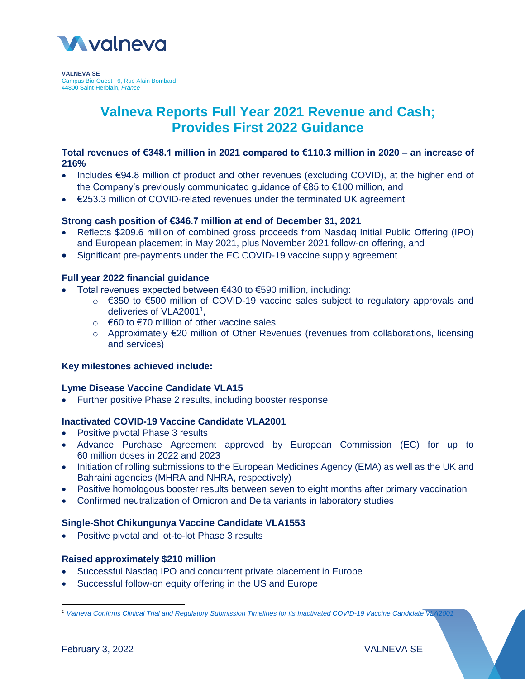

**VALNEVA SE** Campus Bio-Ouest | 6, Rue Alain Bombard 44800 Saint-Herblain, *France*

# **Valneva Reports Full Year 2021 Revenue and Cash; Provides First 2022 Guidance**

## **Total revenues of €348.1 million in 2021 compared to €110.3 million in 2020 – an increase of 216%**

- Includes €94.8 million of product and other revenues (excluding COVID), at the higher end of the Company's previously communicated guidance of €85 to €100 million, and
- €253.3 million of COVID-related revenues under the terminated UK agreement

# **Strong cash position of €346.7 million at end of December 31, 2021**

- Reflects \$209.6 million of combined gross proceeds from Nasdaq Initial Public Offering (IPO) and European placement in May 2021, plus November 2021 follow-on offering, and
- Significant pre-payments under the EC COVID-19 vaccine supply agreement

# **Full year 2022 financial guidance**

- Total revenues expected between €430 to €590 million, including:
	- o €350 to €500 million of COVID-19 vaccine sales subject to regulatory approvals and deliveries of VLA2001<sup>1</sup>,
	- $\circ$  €60 to €70 million of other vaccine sales
	- o Approximately €20 million of Other Revenues (revenues from collaborations, licensing and services)

#### **Key milestones achieved include:**

#### **Lyme Disease Vaccine Candidate VLA15**

Further positive Phase 2 results, including booster response

#### **Inactivated COVID-19 Vaccine Candidate VLA2001**

- Positive pivotal Phase 3 results
- Advance Purchase Agreement approved by European Commission (EC) for up to 60 million doses in 2022 and 2023
- Initiation of rolling submissions to the European Medicines Agency (EMA) as well as the UK and Bahraini agencies (MHRA and NHRA, respectively)
- Positive homologous booster results between seven to eight months after primary vaccination
- Confirmed neutralization of Omicron and Delta variants in laboratory studies

#### **Single-Shot Chikungunya Vaccine Candidate VLA1553**

• Positive pivotal and lot-to-lot Phase 3 results

# **Raised approximately \$210 million**

- Successful Nasdaq IPO and concurrent private placement in Europe
- Successful follow-on equity offering in the US and Europe

 $\overline{\phantom{a}}$ 

*<sup>1</sup> [Valneva Confirms Clinical Trial and Regulatory Submission Timelines for its Inactivated COVID-19 Vaccine Candidate VLA2001](https://valneva.com/press-release/valneva-confirms-clinical-trial-and-regulatory-submission-timelines-for-its-inactivated-covid-19-vaccine-candidate-vla2001/)*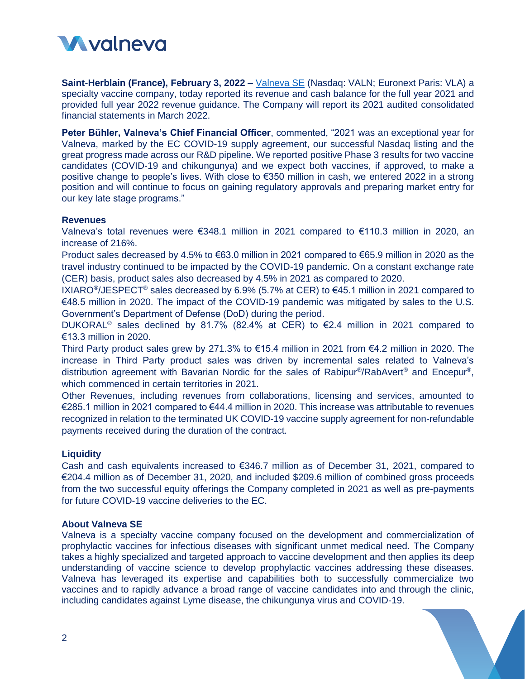

**Saint-Herblain (France), February 3, 2022** – [Valneva SE](http://www.valneva.com/) (Nasdaq: VALN; Euronext Paris: VLA) a specialty vaccine company, today reported its revenue and cash balance for the full year 2021 and provided full year 2022 revenue guidance. The Company will report its 2021 audited consolidated financial statements in March 2022.

**Peter Bühler, Valneva's Chief Financial Officer**, commented, "2021 was an exceptional year for Valneva, marked by the EC COVID-19 supply agreement, our successful Nasdaq listing and the great progress made across our R&D pipeline. We reported positive Phase 3 results for two vaccine candidates (COVID-19 and chikungunya) and we expect both vaccines, if approved, to make a positive change to people's lives. With close to €350 million in cash, we entered 2022 in a strong position and will continue to focus on gaining regulatory approvals and preparing market entry for our key late stage programs."

#### **Revenues**

Valneva's total revenues were €348.1 million in 2021 compared to €110.3 million in 2020, an increase of 216%.

Product sales decreased by 4.5% to €63.0 million in 2021 compared to €65.9 million in 2020 as the travel industry continued to be impacted by the COVID-19 pandemic. On a constant exchange rate (CER) basis, product sales also decreased by 4.5% in 2021 as compared to 2020.

IXIARO<sup>®</sup>/JESPECT<sup>®</sup> sales decreased by 6.9% (5.7% at CER) to €45.1 million in 2021 compared to €48.5 million in 2020. The impact of the COVID-19 pandemic was mitigated by sales to the U.S. Government's Department of Defense (DoD) during the period.

DUKORAL<sup>®</sup> sales declined by 81.7% (82.4% at CER) to  $\epsilon$ 2.4 million in 2021 compared to €13.3 million in 2020.

Third Party product sales grew by 271.3% to €15.4 million in 2021 from €4.2 million in 2020. The increase in Third Party product sales was driven by incremental sales related to Valneva's distribution agreement with Bavarian Nordic for the sales of Rabipur<sup>®</sup>/RabAvert<sup>®</sup> and Encepur<sup>®</sup>, which commenced in certain territories in 2021.

Other Revenues, including revenues from collaborations, licensing and services, amounted to €285.1 million in 2021 compared to €44.4 million in 2020. This increase was attributable to revenues recognized in relation to the terminated UK COVID-19 vaccine supply agreement for non-refundable payments received during the duration of the contract.

#### **Liquidity**

Cash and cash equivalents increased to €346.7 million as of December 31, 2021, compared to €204.4 million as of December 31, 2020, and included \$209.6 million of combined gross proceeds from the two successful equity offerings the Company completed in 2021 as well as pre-payments for future COVID-19 vaccine deliveries to the EC.

#### **About Valneva SE**

Valneva is a specialty vaccine company focused on the development and commercialization of prophylactic vaccines for infectious diseases with significant unmet medical need. The Company takes a highly specialized and targeted approach to vaccine development and then applies its deep understanding of vaccine science to develop prophylactic vaccines addressing these diseases. Valneva has leveraged its expertise and capabilities both to successfully commercialize two vaccines and to rapidly advance a broad range of vaccine candidates into and through the clinic, including candidates against Lyme disease, the chikungunya virus and COVID-19.